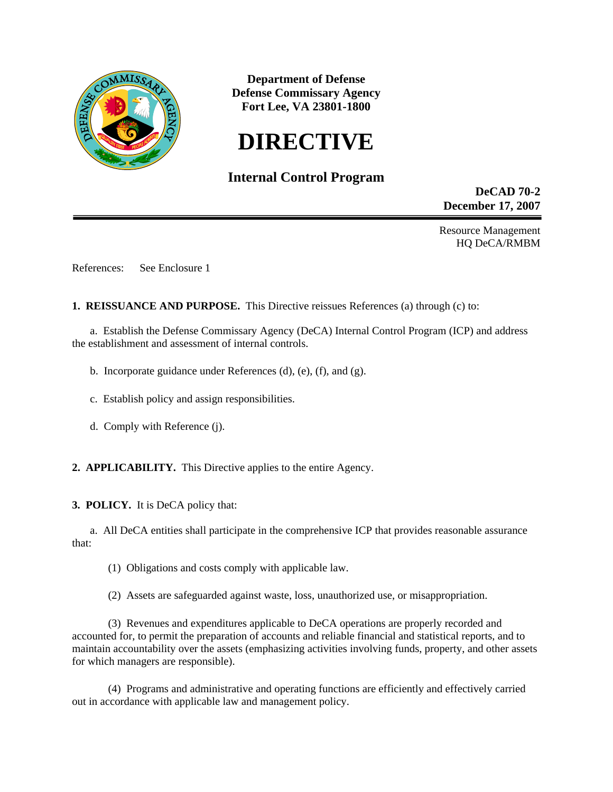

**Department of Defense Defense Commissary Agency Fort Lee, VA 23801-1800** 

# **DIRECTIVE**

# **Internal Control Program**

**DeCAD 70-2 December 17, 2007** 

Resource Management HQ DeCA/RMBM

References: See Enclosure 1

**1. REISSUANCE AND PURPOSE.** This Directive reissues References (a) through (c) to:

 a. Establish the Defense Commissary Agency (DeCA) Internal Control Program (ICP) and address the establishment and assessment of internal controls.

- b. Incorporate guidance under References (d), (e), (f), and (g).
- c. Establish policy and assign responsibilities.
- d. Comply with Reference (j).

**2. APPLICABILITY.** This Directive applies to the entire Agency.

**3. POLICY.** It is DeCA policy that:

 a. All DeCA entities shall participate in the comprehensive ICP that provides reasonable assurance that:

(1) Obligations and costs comply with applicable law.

(2) Assets are safeguarded against waste, loss, unauthorized use, or misappropriation.

 (3) Revenues and expenditures applicable to DeCA operations are properly recorded and accounted for, to permit the preparation of accounts and reliable financial and statistical reports, and to maintain accountability over the assets (emphasizing activities involving funds, property, and other assets for which managers are responsible).

 (4) Programs and administrative and operating functions are efficiently and effectively carried out in accordance with applicable law and management policy.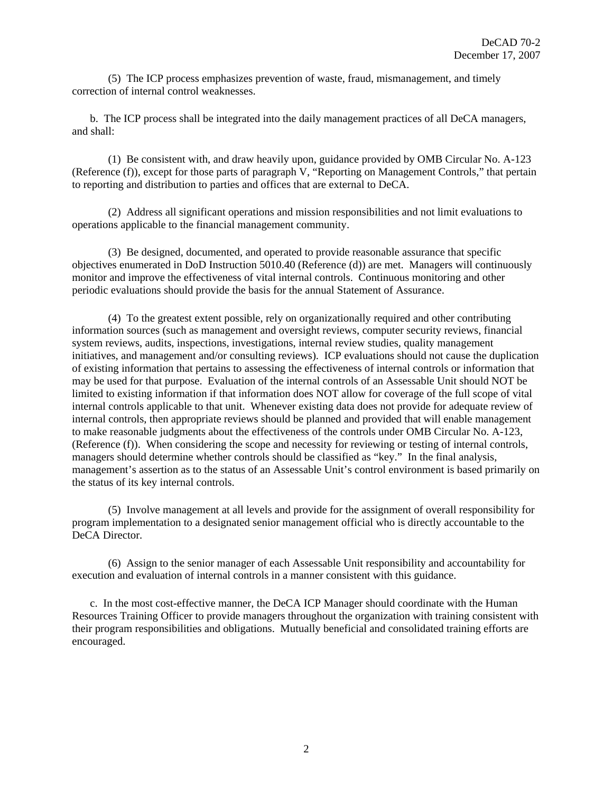(5) The ICP process emphasizes prevention of waste, fraud, mismanagement, and timely correction of internal control weaknesses.

 b. The ICP process shall be integrated into the daily management practices of all DeCA managers, and shall:

 (1) Be consistent with, and draw heavily upon, guidance provided by OMB Circular No. A-123 (Reference (f)), except for those parts of paragraph V, "Reporting on Management Controls," that pertain to reporting and distribution to parties and offices that are external to DeCA.

 (2) Address all significant operations and mission responsibilities and not limit evaluations to operations applicable to the financial management community.

 (3) Be designed, documented, and operated to provide reasonable assurance that specific objectives enumerated in DoD Instruction 5010.40 (Reference (d)) are met. Managers will continuously monitor and improve the effectiveness of vital internal controls. Continuous monitoring and other periodic evaluations should provide the basis for the annual Statement of Assurance.

 (4) To the greatest extent possible, rely on organizationally required and other contributing information sources (such as management and oversight reviews, computer security reviews, financial system reviews, audits, inspections, investigations, internal review studies, quality management initiatives, and management and/or consulting reviews). ICP evaluations should not cause the duplication of existing information that pertains to assessing the effectiveness of internal controls or information that may be used for that purpose. Evaluation of the internal controls of an Assessable Unit should NOT be limited to existing information if that information does NOT allow for coverage of the full scope of vital internal controls applicable to that unit. Whenever existing data does not provide for adequate review of internal controls, then appropriate reviews should be planned and provided that will enable management to make reasonable judgments about the effectiveness of the controls under OMB Circular No. A-123, (Reference (f)). When considering the scope and necessity for reviewing or testing of internal controls, managers should determine whether controls should be classified as "key." In the final analysis, management's assertion as to the status of an Assessable Unit's control environment is based primarily on the status of its key internal controls.

 (5) Involve management at all levels and provide for the assignment of overall responsibility for program implementation to a designated senior management official who is directly accountable to the DeCA Director.

 (6) Assign to the senior manager of each Assessable Unit responsibility and accountability for execution and evaluation of internal controls in a manner consistent with this guidance.

 c. In the most cost-effective manner, the DeCA ICP Manager should coordinate with the Human Resources Training Officer to provide managers throughout the organization with training consistent with their program responsibilities and obligations. Mutually beneficial and consolidated training efforts are encouraged.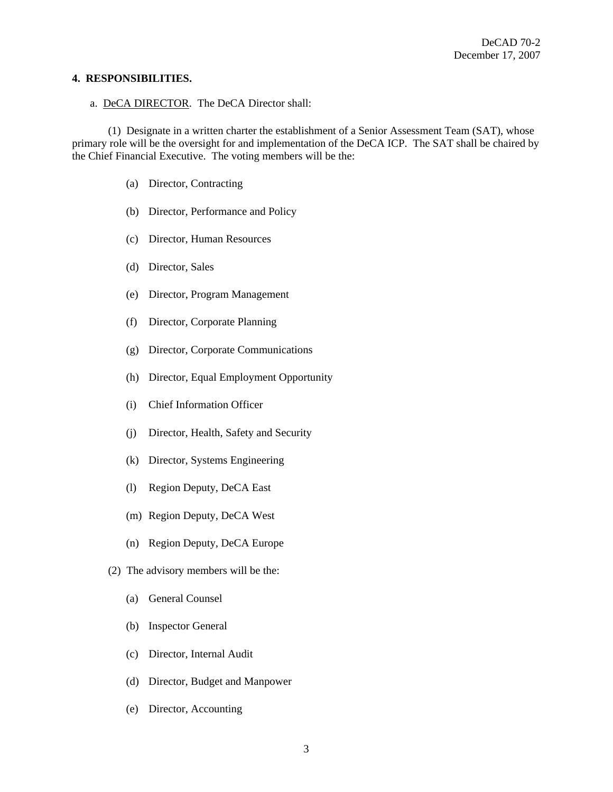#### **4. RESPONSIBILITIES.**

#### a. DeCA DIRECTOR. The DeCA Director shall:

 (1) Designate in a written charter the establishment of a Senior Assessment Team (SAT), whose primary role will be the oversight for and implementation of the DeCA ICP. The SAT shall be chaired by the Chief Financial Executive. The voting members will be the:

- (a) Director, Contracting
- (b) Director, Performance and Policy
- (c) Director, Human Resources
- (d) Director, Sales
- (e) Director, Program Management
- (f) Director, Corporate Planning
- (g) Director, Corporate Communications
- (h) Director, Equal Employment Opportunity
- (i) Chief Information Officer
- (j) Director, Health, Safety and Security
- (k) Director, Systems Engineering
- (l) Region Deputy, DeCA East
- (m) Region Deputy, DeCA West
- (n) Region Deputy, DeCA Europe
- (2) The advisory members will be the:
	- (a) General Counsel
	- (b) Inspector General
	- (c) Director, Internal Audit
	- (d) Director, Budget and Manpower
	- (e) Director, Accounting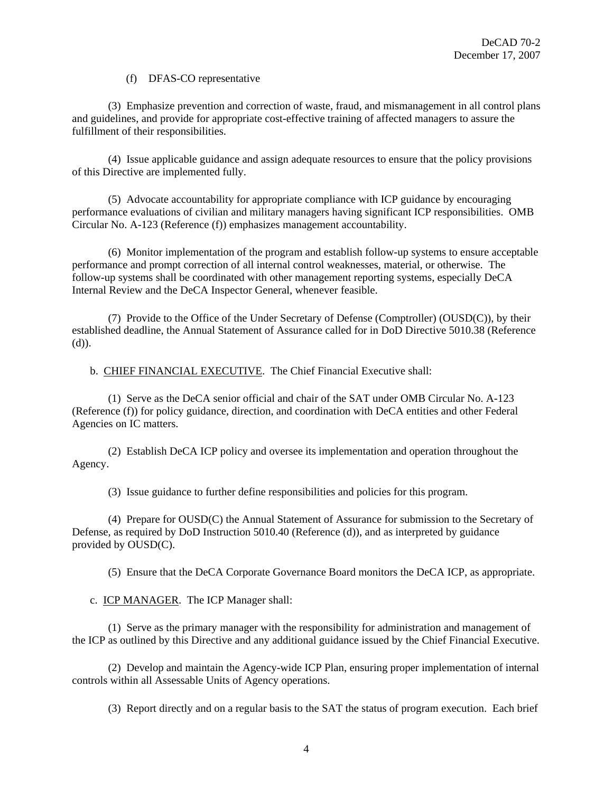### (f) DFAS-CO representative

 (3) Emphasize prevention and correction of waste, fraud, and mismanagement in all control plans and guidelines, and provide for appropriate cost-effective training of affected managers to assure the fulfillment of their responsibilities.

 (4) Issue applicable guidance and assign adequate resources to ensure that the policy provisions of this Directive are implemented fully.

 (5) Advocate accountability for appropriate compliance with ICP guidance by encouraging performance evaluations of civilian and military managers having significant ICP responsibilities. OMB Circular No. A-123 (Reference (f)) emphasizes management accountability.

 (6) Monitor implementation of the program and establish follow-up systems to ensure acceptable performance and prompt correction of all internal control weaknesses, material, or otherwise. The follow-up systems shall be coordinated with other management reporting systems, especially DeCA Internal Review and the DeCA Inspector General, whenever feasible.

 (7) Provide to the Office of the Under Secretary of Defense (Comptroller) (OUSD(C)), by their established deadline, the Annual Statement of Assurance called for in DoD Directive 5010.38 (Reference (d)).

b. CHIEF FINANCIAL EXECUTIVE. The Chief Financial Executive shall:

 (1) Serve as the DeCA senior official and chair of the SAT under OMB Circular No. A-123 (Reference (f)) for policy guidance, direction, and coordination with DeCA entities and other Federal Agencies on IC matters.

 (2) Establish DeCA ICP policy and oversee its implementation and operation throughout the Agency.

(3) Issue guidance to further define responsibilities and policies for this program.

 (4) Prepare for OUSD(C) the Annual Statement of Assurance for submission to the Secretary of Defense, as required by DoD Instruction 5010.40 (Reference (d)), and as interpreted by guidance provided by OUSD(C).

(5) Ensure that the DeCA Corporate Governance Board monitors the DeCA ICP, as appropriate.

c. ICP MANAGER. The ICP Manager shall:

 (1) Serve as the primary manager with the responsibility for administration and management of the ICP as outlined by this Directive and any additional guidance issued by the Chief Financial Executive.

 (2) Develop and maintain the Agency-wide ICP Plan, ensuring proper implementation of internal controls within all Assessable Units of Agency operations.

(3) Report directly and on a regular basis to the SAT the status of program execution. Each brief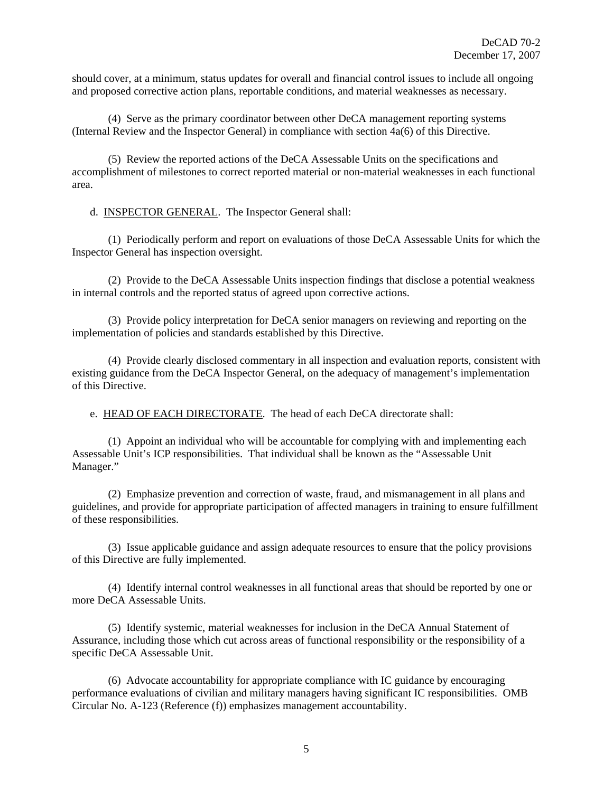should cover, at a minimum, status updates for overall and financial control issues to include all ongoing and proposed corrective action plans, reportable conditions, and material weaknesses as necessary.

 (4) Serve as the primary coordinator between other DeCA management reporting systems (Internal Review and the Inspector General) in compliance with section 4a(6) of this Directive.

 (5) Review the reported actions of the DeCA Assessable Units on the specifications and accomplishment of milestones to correct reported material or non-material weaknesses in each functional area.

d. INSPECTOR GENERAL. The Inspector General shall:

 (1) Periodically perform and report on evaluations of those DeCA Assessable Units for which the Inspector General has inspection oversight.

 (2) Provide to the DeCA Assessable Units inspection findings that disclose a potential weakness in internal controls and the reported status of agreed upon corrective actions.

 (3) Provide policy interpretation for DeCA senior managers on reviewing and reporting on the implementation of policies and standards established by this Directive.

 (4) Provide clearly disclosed commentary in all inspection and evaluation reports, consistent with existing guidance from the DeCA Inspector General, on the adequacy of management's implementation of this Directive.

e. HEAD OF EACH DIRECTORATE. The head of each DeCA directorate shall:

 (1) Appoint an individual who will be accountable for complying with and implementing each Assessable Unit's ICP responsibilities. That individual shall be known as the "Assessable Unit Manager."

 (2) Emphasize prevention and correction of waste, fraud, and mismanagement in all plans and guidelines, and provide for appropriate participation of affected managers in training to ensure fulfillment of these responsibilities.

 (3) Issue applicable guidance and assign adequate resources to ensure that the policy provisions of this Directive are fully implemented.

 (4) Identify internal control weaknesses in all functional areas that should be reported by one or more DeCA Assessable Units.

 (5) Identify systemic, material weaknesses for inclusion in the DeCA Annual Statement of Assurance, including those which cut across areas of functional responsibility or the responsibility of a specific DeCA Assessable Unit.

 (6) Advocate accountability for appropriate compliance with IC guidance by encouraging performance evaluations of civilian and military managers having significant IC responsibilities. OMB Circular No. A-123 (Reference (f)) emphasizes management accountability.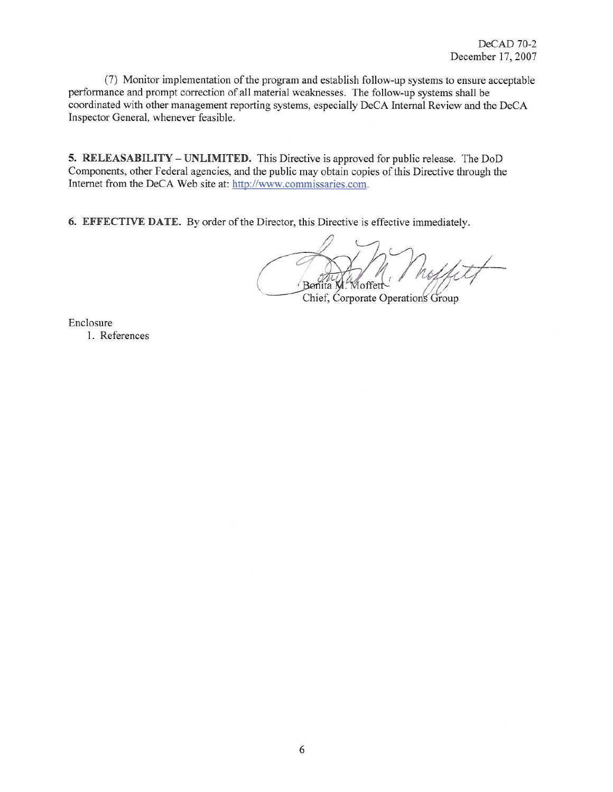(7) Monitor implementation of the program and establish follow-up systems to ensure acceptable performance and prompt correction of all material weaknesses. The follow-up systems shall be coordinated with other management reporting systems, especially DeCA Internal Review and the DeCA Inspector General, whenever feasible.

5. RELEASABILITY – UNLIMITED. This Directive is approved for public release. The DoD Components, other Federal agencies, and the public may obtain copies of this Directive through the Internet from the DeCA Web site at: http://www.commissaries.com.

6. EFFECTIVE DATE. By order of the Director, this Directive is effective immediately.

Bonita l loffet Chief, Corporate Operations Group

Enclosure

1. References